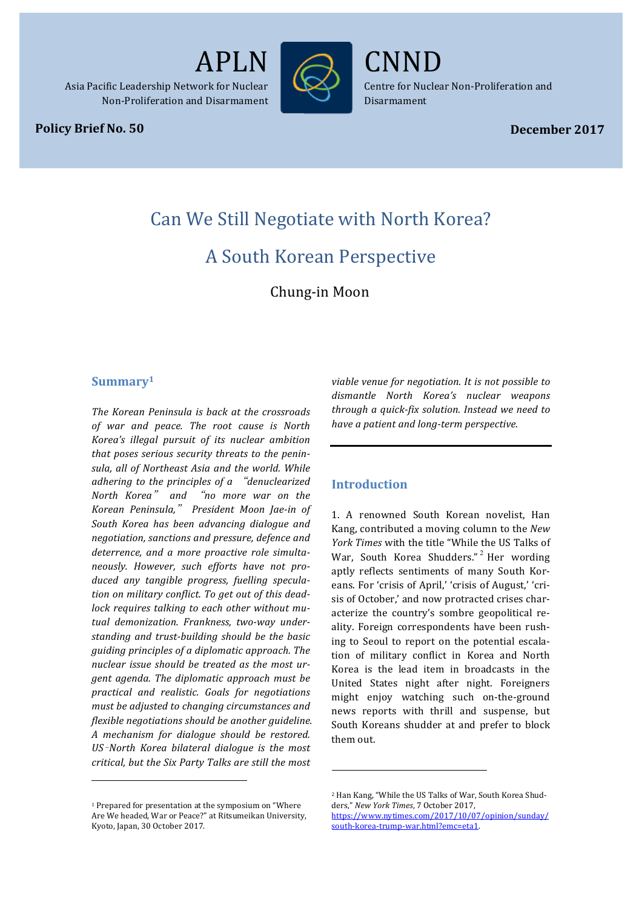

Asia Pacific Leadership Network for Nuclear Non-Proliferation and Disarmament

#### **Policy Brief No. 50**

CNND

Centre for Nuclear Non-Proliferation and Disarmament

*Policy Brief No. 12* APLN/CNND1

# Can We Still Negotiate with North Korea?

# A South Korean Perspective

Chung-in Moon

#### **Summary1**

*The Korean Peninsula is back at the crossroads of war and peace. The root cause is North Korea's illegal pursuit of its nuclear ambition*  that poses serious security threats to the peninsula, all of Northeast Asia and the world. While *adhering* to the principles of a "*denuclearized North Korea*" *and*  "*no more war on the Korean Peninsula,*" *President Moon Jae-in of*  South Korea has been advancing dialogue and *negotiation, sanctions and pressure, defence and*  deterrence, and a more proactive role simulta*neously. However, such efforts have not pro*duced any tangible progress, fuelling speculation on military conflict. To get out of this deadlock requires talking to each other without mu*tual demonization. Frankness, two-way under*standing and trust-building should be the basic *guiding principles of a diplomatic approach. The*  nuclear issue should be treated as the most ur*gent agenda.* The diplomatic approach must be *practical and realistic. Goals for negotiations*  must be adjusted to changing circumstances and *flexible negotiations should be another guideline. A mechanism for dialogue should be restored. US*–*North Korea bilateral dialogue is the most critical, but the Six Party Talks are still the most* 

 $1$  Prepared for presentation at the symposium on "Where Are We headed, War or Peace?" at Ritsumeikan University, Kyoto, Japan, 30 October 2017.

 

viable venue for negotiation. It is not possible to *dismantle North Korea's nuclear weapons through a quick-fix solution. Instead we need to have a patient and long-term perspective.*

## **Introduction**

1. A renowned South Korean novelist, Han Kang, contributed a moving column to the *New York Times* with the title "While the US Talks of War, South Korea Shudders."<sup>2</sup> Her wording aptly reflects sentiments of many South Koreans. For 'crisis of April,' 'crisis of August,' 'crisis of October,' and now protracted crises characterize the country's sombre geopolitical reality. Foreign correspondents have been rushing to Seoul to report on the potential escalation of military conflict in Korea and North Korea is the lead item in broadcasts in the United States night after night. Foreigners might enjoy watching such on-the-ground news reports with thrill and suspense, but South Koreans shudder at and prefer to block them out. 

 

<sup>&</sup>lt;sup>2</sup> Han Kang, "While the US Talks of War, South Korea Shudders," New York Times, 7 October 2017,

https://www.nytimes.com/2017/10/07/opinion/sunday/ south-korea-trump-war.html?emc=eta1.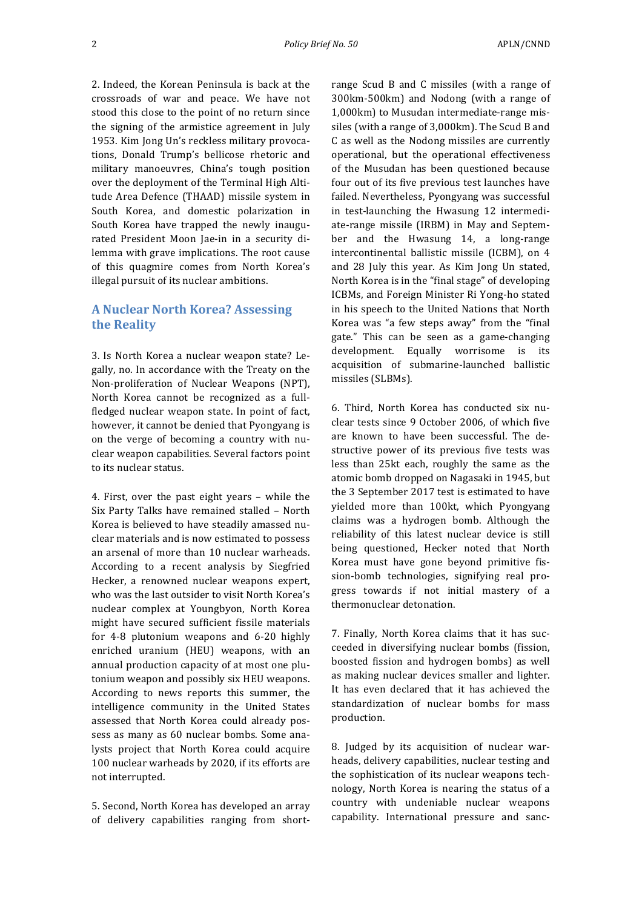2. Indeed, the Korean Peninsula is back at the crossroads of war and peace. We have not stood this close to the point of no return since the signing of the armistice agreement in July 1953. Kim Jong Un's reckless military provocations, Donald Trump's bellicose rhetoric and military manoeuvres, China's tough position over the deployment of the Terminal High Altitude Area Defence (THAAD) missile system in South Korea, and domestic polarization in South Korea have trapped the newly inaugurated President Moon Jae-in in a security dilemma with grave implications. The root cause of this quagmire comes from North Korea's illegal pursuit of its nuclear ambitions.

#### **A Nuclear North Korea? Assessing the Reality**

3. Is North Korea a nuclear weapon state? Legally, no. In accordance with the Treaty on the Non-proliferation of Nuclear Weapons (NPT), North Korea cannot be recognized as a fullfledged nuclear weapon state. In point of fact, however, it cannot be denied that Pyongyang is on the verge of becoming a country with nuclear weapon capabilities. Several factors point to its nuclear status.

4. First, over the past eight years - while the Six Party Talks have remained stalled - North Korea is believed to have steadily amassed nuclear materials and is now estimated to possess an arsenal of more than 10 nuclear warheads. According to a recent analysis by Siegfried Hecker, a renowned nuclear weapons expert, who was the last outsider to visit North Korea's nuclear complex at Youngbyon, North Korea might have secured sufficient fissile materials for 4-8 plutonium weapons and 6-20 highly enriched uranium (HEU) weapons, with an annual production capacity of at most one plutonium weapon and possibly six HEU weapons. According to news reports this summer, the intelligence community in the United States assessed that North Korea could already possess as many as 60 nuclear bombs. Some analysts project that North Korea could acquire 100 nuclear warheads by 2020, if its efforts are not interrupted.

5. Second, North Korea has developed an array of delivery capabilities ranging from short-

range Scud B and C missiles (with a range of 300km-500km) and Nodong (with a range of 1,000km) to Musudan intermediate-range missiles (with a range of  $3,000$ km). The Scud B and C as well as the Nodong missiles are currently operational, but the operational effectiveness of the Musudan has been questioned because four out of its five previous test launches have failed. Nevertheless, Pyongyang was successful in test-launching the Hwasung 12 intermediate-range missile (IRBM) in May and September and the Hwasung 14, a long-range intercontinental ballistic missile (ICBM), on 4 and 28 July this year. As Kim Jong Un stated, North Korea is in the "final stage" of developing ICBMs, and Foreign Minister Ri Yong-ho stated in his speech to the United Nations that North Korea was "a few steps away" from the "final gate." This can be seen as a game-changing development. Equally worrisome is its acquisition of submarine-launched ballistic missiles (SLBMs).

6. Third, North Korea has conducted six nuclear tests since 9 October 2006, of which five are known to have been successful. The destructive power of its previous five tests was less than 25kt each, roughly the same as the atomic bomb dropped on Nagasaki in 1945, but the 3 September 2017 test is estimated to have yielded more than 100kt, which Pyongyang claims was a hydrogen bomb. Although the reliability of this latest nuclear device is still being questioned, Hecker noted that North Korea must have gone beyond primitive fission-bomb technologies, signifying real progress towards if not initial mastery of a thermonuclear detonation.

7. Finally, North Korea claims that it has succeeded in diversifying nuclear bombs (fission, boosted fission and hydrogen bombs) as well as making nuclear devices smaller and lighter. It has even declared that it has achieved the standardization of nuclear bombs for mass production. 

8. Judged by its acquisition of nuclear warheads, delivery capabilities, nuclear testing and the sophistication of its nuclear weapons technology, North Korea is nearing the status of a country with undeniable nuclear weapons capability. International pressure and sanc-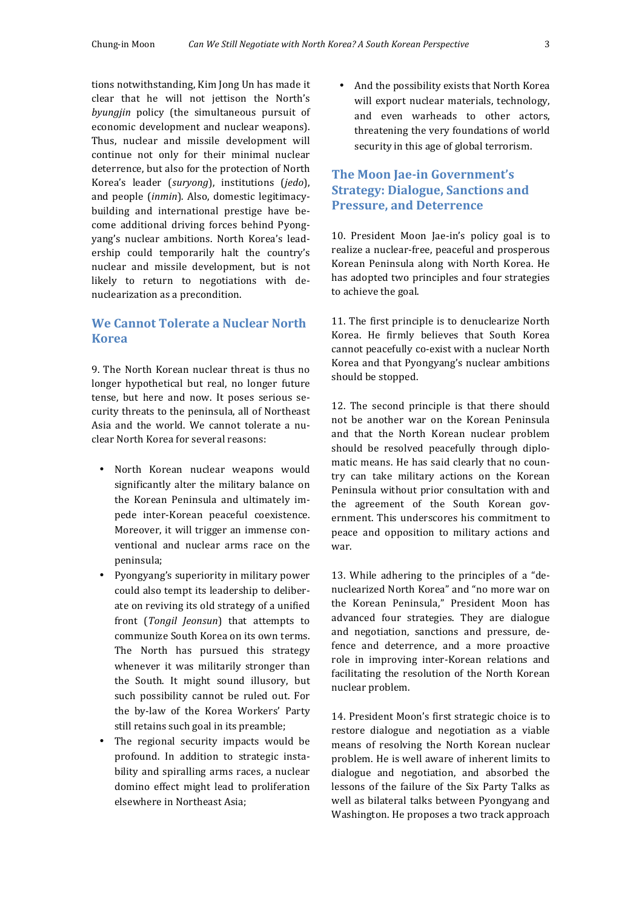tions notwithstanding, Kim Jong Un has made it clear that he will not jettison the North's byungjin policy (the simultaneous pursuit of economic development and nuclear weapons). Thus, nuclear and missile development will continue not only for their minimal nuclear deterrence, but also for the protection of North Korea's leader (*suryong*), institutions (*jedo*), and people *(inmin)*. Also, domestic legitimacybuilding and international prestige have become additional driving forces behind Pyongyang's nuclear ambitions. North Korea's leadership could temporarily halt the country's nuclear and missile development, but is not likely to return to negotiations with denuclearization as a precondition.

# **We Cannot Tolerate a Nuclear North Korea**

9. The North Korean nuclear threat is thus no longer hypothetical but real, no longer future tense, but here and now. It poses serious security threats to the peninsula, all of Northeast Asia and the world. We cannot tolerate a nuclear North Korea for several reasons:

- North Korean nuclear weapons would significantly alter the military balance on the Korean Peninsula and ultimately impede inter-Korean peaceful coexistence. Moreover, it will trigger an immense conventional and nuclear arms race on the peninsula;
- Pyongyang's superiority in military power could also tempt its leadership to deliberate on reviving its old strategy of a unified front (*Tongil Jeonsun*) that attempts to communize South Korea on its own terms. The North has pursued this strategy whenever it was militarily stronger than the South. It might sound illusory, but such possibility cannot be ruled out. For the by-law of the Korea Workers' Party still retains such goal in its preamble;
- The regional security impacts would be profound. In addition to strategic instability and spiralling arms races, a nuclear domino effect might lead to proliferation elsewhere in Northeast Asia;

• And the possibility exists that North Korea will export nuclear materials, technology, and even warheads to other actors, threatening the very foundations of world security in this age of global terrorism.

# **The Moon Iae-in Government's Strategy: Dialogue, Sanctions and Pressure, and Deterrence**

10. President Moon Jae-in's policy goal is to realize a nuclear-free, peaceful and prosperous Korean Peninsula along with North Korea. He has adopted two principles and four strategies to achieve the goal.

11. The first principle is to denuclearize North Korea. He firmly believes that South Korea cannot peacefully co-exist with a nuclear North Korea and that Pyongyang's nuclear ambitions should be stopped.

12. The second principle is that there should not be another war on the Korean Peninsula and that the North Korean nuclear problem should be resolved peacefully through diplomatic means. He has said clearly that no country can take military actions on the Korean Peninsula without prior consultation with and the agreement of the South Korean government. This underscores his commitment to peace and opposition to military actions and war.

13. While adhering to the principles of a "denuclearized North Korea" and "no more war on the Korean Peninsula," President Moon has advanced four strategies. They are dialogue and negotiation, sanctions and pressure, defence and deterrence, and a more proactive role in improving inter-Korean relations and facilitating the resolution of the North Korean nuclear problem.

14. President Moon's first strategic choice is to restore dialogue and negotiation as a viable means of resolving the North Korean nuclear problem. He is well aware of inherent limits to dialogue and negotiation, and absorbed the lessons of the failure of the Six Party Talks as well as bilateral talks between Pyongyang and Washington. He proposes a two track approach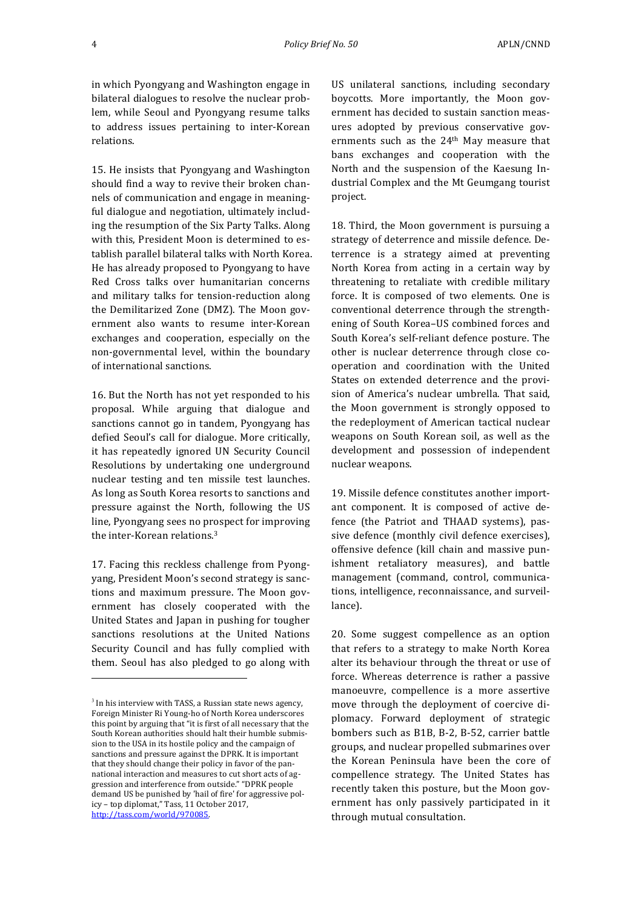in which Pyongyang and Washington engage in bilateral dialogues to resolve the nuclear problem, while Seoul and Pyongyang resume talks to address issues pertaining to inter-Korean relations.

15. He insists that Pyongyang and Washington should find a way to revive their broken channels of communication and engage in meaningful dialogue and negotiation, ultimately including the resumption of the Six Party Talks. Along with this, President Moon is determined to establish parallel bilateral talks with North Korea. He has already proposed to Pyongyang to have Red Cross talks over humanitarian concerns and military talks for tension-reduction along the Demilitarized Zone (DMZ). The Moon government also wants to resume inter-Korean exchanges and cooperation, especially on the non-governmental level, within the boundary of international sanctions.

16. But the North has not yet responded to his proposal. While arguing that dialogue and sanctions cannot go in tandem, Pyongyang has defied Seoul's call for dialogue. More critically, it has repeatedly ignored UN Security Council Resolutions by undertaking one underground nuclear testing and ten missile test launches. As long as South Korea resorts to sanctions and pressure against the North, following the US line, Pyongyang sees no prospect for improving the inter-Korean relations. $3$ 

17. Facing this reckless challenge from Pyongyang, President Moon's second strategy is sanctions and maximum pressure. The Moon government has closely cooperated with the United States and Japan in pushing for tougher sanctions resolutions at the United Nations Security Council and has fully complied with them. Seoul has also pledged to go along with

<u> 1989 - Johann Stein, marwolaethau a bh</u>

US unilateral sanctions, including secondary boycotts. More importantly, the Moon government has decided to sustain sanction measures adopted by previous conservative governments such as the  $24<sup>th</sup>$  May measure that bans exchanges and cooperation with the North and the suspension of the Kaesung Industrial Complex and the Mt Geumgang tourist project. 

18. Third, the Moon government is pursuing a strategy of deterrence and missile defence. Deterrence is a strategy aimed at preventing North Korea from acting in a certain way by threatening to retaliate with credible military force. It is composed of two elements. One is conventional deterrence through the strengthening of South Korea-US combined forces and South Korea's self-reliant defence posture. The other is nuclear deterrence through close cooperation and coordination with the United States on extended deterrence and the provision of America's nuclear umbrella. That said, the Moon government is strongly opposed to the redeployment of American tactical nuclear weapons on South Korean soil, as well as the development and possession of independent nuclear weapons.

19. Missile defence constitutes another important component. It is composed of active defence (the Patriot and THAAD systems), passive defence (monthly civil defence exercises), offensive defence (kill chain and massive punishment retaliatory measures), and battle management (command, control, communications, intelligence, reconnaissance, and surveillance).

20. Some suggest compellence as an option that refers to a strategy to make North Korea alter its behaviour through the threat or use of force. Whereas deterrence is rather a passive manoeuvre, compellence is a more assertive move through the deployment of coercive diplomacy. Forward deployment of strategic bombers such as B1B, B-2, B-52, carrier battle groups, and nuclear propelled submarines over the Korean Peninsula have been the core of compellence strategy. The United States has recently taken this posture, but the Moon government has only passively participated in it through mutual consultation.

 $3$  In his interview with TASS, a Russian state news agency, Foreign Minister Ri Young-ho of North Korea underscores this point by arguing that "it is first of all necessary that the South Korean authorities should halt their humble submission to the USA in its hostile policy and the campaign of sanctions and pressure against the DPRK. It is important that they should change their policy in favor of the pannational interaction and measures to cut short acts of aggression and interference from outside." "DPRK people demand US be punished by 'hail of fire' for aggressive policy - top diplomat," Tass, 11 October 2017, http://tass.com/world/970085.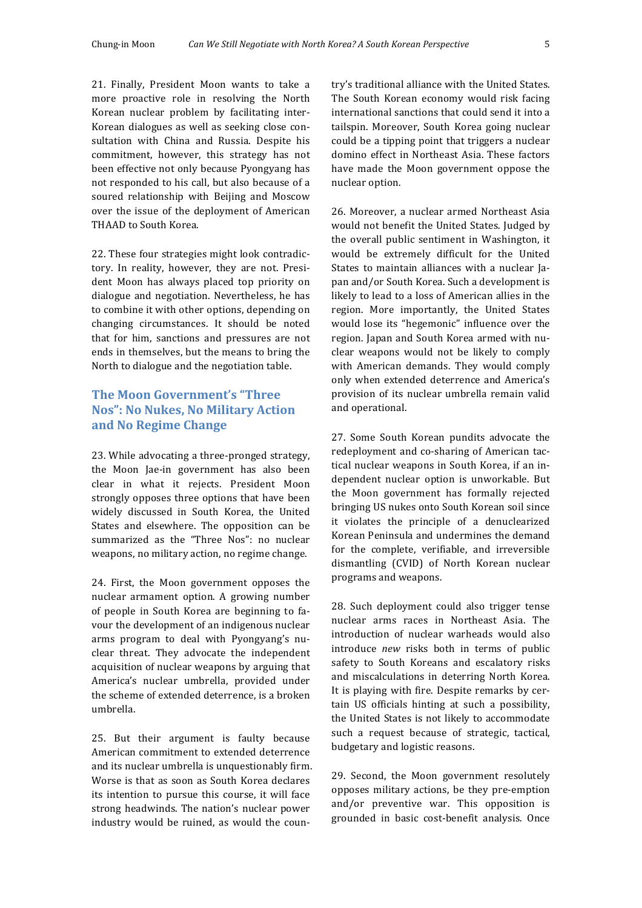21. Finally, President Moon wants to take a more proactive role in resolving the North Korean nuclear problem by facilitating inter-Korean dialogues as well as seeking close consultation with China and Russia. Despite his commitment, however, this strategy has not been effective not only because Pyongyang has not responded to his call, but also because of a soured relationship with Beijing and Moscow over the issue of the deployment of American THAAD to South Korea.

22. These four strategies might look contradictory. In reality, however, they are not. President Moon has always placed top priority on dialogue and negotiation. Nevertheless, he has to combine it with other options, depending on changing circumstances. It should be noted that for him, sanctions and pressures are not ends in themselves, but the means to bring the North to dialogue and the negotiation table.

# **The Moon Government's "Three Nos": No Nukes, No Military Action and No Regime Change**

23. While advocating a three-pronged strategy, the Moon Jae-in government has also been clear in what it rejects. President Moon strongly opposes three options that have been widely discussed in South Korea, the United States and elsewhere. The opposition can be summarized as the "Three Nos": no nuclear weapons, no military action, no regime change.

24. First, the Moon government opposes the nuclear armament option. A growing number of people in South Korea are beginning to favour the development of an indigenous nuclear arms program to deal with Pyongyang's nuclear threat. They advocate the independent acquisition of nuclear weapons by arguing that America's nuclear umbrella, provided under the scheme of extended deterrence, is a broken umbrella. 

25. But their argument is faulty because American commitment to extended deterrence and its nuclear umbrella is unquestionably firm. Worse is that as soon as South Korea declares its intention to pursue this course, it will face strong headwinds. The nation's nuclear power industry would be ruined, as would the coun-

try's traditional alliance with the United States. The South Korean economy would risk facing international sanctions that could send it into a tailspin. Moreover, South Korea going nuclear could be a tipping point that triggers a nuclear domino effect in Northeast Asia. These factors have made the Moon government oppose the nuclear option. 

26. Moreover, a nuclear armed Northeast Asia would not benefit the United States. Judged by the overall public sentiment in Washington, it would be extremely difficult for the United States to maintain alliances with a nuclear Japan and/or South Korea. Such a development is likely to lead to a loss of American allies in the region. More importantly, the United States would lose its "hegemonic" influence over the region. Japan and South Korea armed with nuclear weapons would not be likely to comply with American demands. They would comply only when extended deterrence and America's provision of its nuclear umbrella remain valid and operational.

27. Some South Korean pundits advocate the redeployment and co-sharing of American tactical nuclear weapons in South Korea, if an independent nuclear option is unworkable. But the Moon government has formally rejected bringing US nukes onto South Korean soil since it violates the principle of a denuclearized Korean Peninsula and undermines the demand for the complete, verifiable, and irreversible dismantling (CVID) of North Korean nuclear programs and weapons.

28. Such deployment could also trigger tense nuclear arms races in Northeast Asia. The introduction of nuclear warheads would also introduce *new* risks both in terms of public safety to South Koreans and escalatory risks and miscalculations in deterring North Korea. It is playing with fire. Despite remarks by certain US officials hinting at such a possibility, the United States is not likely to accommodate such a request because of strategic, tactical, budgetary and logistic reasons.

29. Second, the Moon government resolutely opposes military actions, be they pre-emption and/or preventive war. This opposition is grounded in basic cost-benefit analysis. Once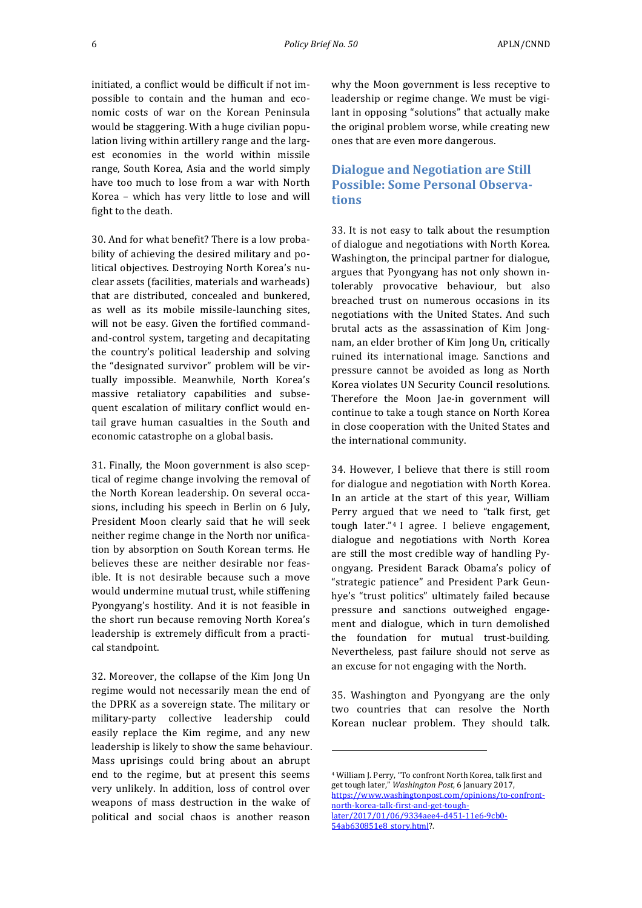initiated, a conflict would be difficult if not impossible to contain and the human and economic costs of war on the Korean Peninsula would be staggering. With a huge civilian population living within artillery range and the largest economies in the world within missile range, South Korea, Asia and the world simply have too much to lose from a war with North Korea - which has very little to lose and will fight to the death.

30. And for what benefit? There is a low probability of achieving the desired military and political objectives. Destroying North Korea's nuclear assets (facilities, materials and warheads) that are distributed, concealed and bunkered, as well as its mobile missile-launching sites, will not be easy. Given the fortified commandand-control system, targeting and decapitating the country's political leadership and solving the "designated survivor" problem will be virtually impossible. Meanwhile, North Korea's massive retaliatory capabilities and subsequent escalation of military conflict would entail grave human casualties in the South and economic catastrophe on a global basis.

31. Finally, the Moon government is also sceptical of regime change involving the removal of the North Korean leadership. On several occasions, including his speech in Berlin on 6 July, President Moon clearly said that he will seek neither regime change in the North nor unification by absorption on South Korean terms. He believes these are neither desirable nor feasible. It is not desirable because such a move would undermine mutual trust, while stiffening Pyongyang's hostility. And it is not feasible in the short run because removing North Korea's leadership is extremely difficult from a practical standpoint.

32. Moreover, the collapse of the Kim Jong Un regime would not necessarily mean the end of the DPRK as a sovereign state. The military or military-party collective leadership could easily replace the Kim regime, and any new leadership is likely to show the same behaviour. Mass uprisings could bring about an abrupt end to the regime, but at present this seems very unlikely. In addition, loss of control over weapons of mass destruction in the wake of political and social chaos is another reason

why the Moon government is less receptive to leadership or regime change. We must be vigilant in opposing "solutions" that actually make the original problem worse, while creating new ones that are even more dangerous.

# **Dialogue and Negotiation are Still Possible: Some Personal Observations**

33. It is not easy to talk about the resumption of dialogue and negotiations with North Korea. Washington, the principal partner for dialogue, argues that Pyongyang has not only shown intolerably provocative behaviour, but also breached trust on numerous occasions in its negotiations with the United States. And such brutal acts as the assassination of Kim Jongnam, an elder brother of Kim Jong Un, critically ruined its international image. Sanctions and pressure cannot be avoided as long as North Korea violates UN Security Council resolutions. Therefore the Moon Jae-in government will continue to take a tough stance on North Korea in close cooperation with the United States and the international community.

34. However, I believe that there is still room for dialogue and negotiation with North Korea. In an article at the start of this year, William Perry argued that we need to "talk first, get tough later." $4$  I agree. I believe engagement, dialogue and negotiations with North Korea are still the most credible way of handling Pyongyang. President Barack Obama's policy of "strategic patience" and President Park Geunhye's "trust politics" ultimately failed because pressure and sanctions outweighed engagement and dialogue, which in turn demolished the foundation for mutual trust-building. Nevertheless, past failure should not serve as an excuse for not engaging with the North.

35. Washington and Pyongyang are the only two countries that can resolve the North Korean nuclear problem. They should talk.

<u> 1989 - Johann Stein, marwolaethau a bh</u>

<sup>&</sup>lt;sup>4</sup> William J. Perry, "To confront North Korea, talk first and get tough later," Washington Post, 6 January 2017, https://www.washingtonpost.com/opinions/to-confrontnorth-korea-talk-first-and-get-toughlater/2017/01/06/9334aee4-d451-11e6-9cb0-54ab630851e8 story.html?.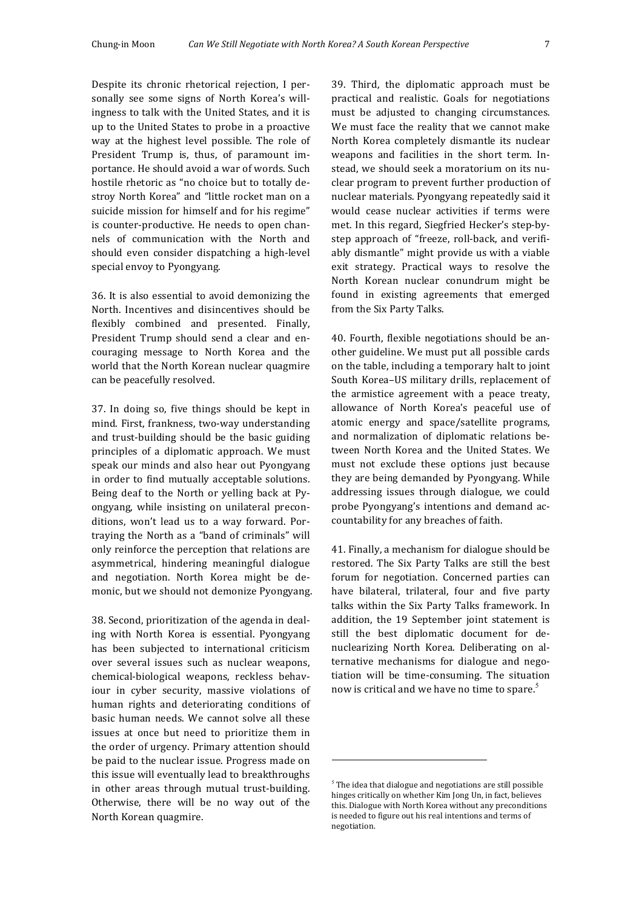Despite its chronic rhetorical rejection, I personally see some signs of North Korea's willingness to talk with the United States, and it is up to the United States to probe in a proactive way at the highest level possible. The role of President Trump is, thus, of paramount importance. He should avoid a war of words. Such hostile rhetoric as "no choice but to totally destroy North Korea" and "little rocket man on a suicide mission for himself and for his regime" is counter-productive. He needs to open channels of communication with the North and should even consider dispatching a high-level special envoy to Pyongyang.

36. It is also essential to avoid demonizing the North. Incentives and disincentives should be flexibly combined and presented. Finally, President Trump should send a clear and encouraging message to North Korea and the world that the North Korean nuclear quagmire can be peacefully resolved.

37. In doing so, five things should be kept in mind. First, frankness, two-way understanding and trust-building should be the basic guiding principles of a diplomatic approach. We must speak our minds and also hear out Pyongyang in order to find mutually acceptable solutions. Being deaf to the North or yelling back at Pyongyang, while insisting on unilateral preconditions, won't lead us to a way forward. Portraying the North as a "band of criminals" will only reinforce the perception that relations are asymmetrical, hindering meaningful dialogue and negotiation. North Korea might be demonic, but we should not demonize Pyongyang.

38. Second, prioritization of the agenda in dealing with North Korea is essential. Pyongyang has been subjected to international criticism over several issues such as nuclear weapons, chemical-biological weapons, reckless behaviour in cyber security, massive violations of human rights and deteriorating conditions of basic human needs. We cannot solve all these issues at once but need to prioritize them in the order of urgency. Primary attention should be paid to the nuclear issue. Progress made on this issue will eventually lead to breakthroughs in other areas through mutual trust-building. Otherwise, there will be no way out of the North Korean quagmire.

39. Third, the diplomatic approach must be practical and realistic. Goals for negotiations must be adjusted to changing circumstances. We must face the reality that we cannot make North Korea completely dismantle its nuclear weapons and facilities in the short term. Instead, we should seek a moratorium on its nuclear program to prevent further production of nuclear materials. Pyongyang repeatedly said it would cease nuclear activities if terms were met. In this regard, Siegfried Hecker's step-bystep approach of "freeze, roll-back, and verifiably dismantle" might provide us with a viable exit strategy. Practical ways to resolve the North Korean nuclear conundrum might be found in existing agreements that emerged from the Six Party Talks.

40. Fourth, flexible negotiations should be another guideline. We must put all possible cards on the table, including a temporary halt to joint South Korea-US military drills, replacement of the armistice agreement with a peace treaty, allowance of North Korea's peaceful use of atomic energy and space/satellite programs, and normalization of diplomatic relations between North Korea and the United States. We must not exclude these options just because they are being demanded by Pyongyang. While addressing issues through dialogue, we could probe Pyongyang's intentions and demand accountability for any breaches of faith.

41. Finally, a mechanism for dialogue should be restored. The Six Party Talks are still the best forum for negotiation. Concerned parties can have bilateral, trilateral, four and five party talks within the Six Party Talks framework. In addition, the 19 September joint statement is still the best diplomatic document for denuclearizing North Korea. Deliberating on alternative mechanisms for dialogue and negotiation will be time-consuming. The situation now is critical and we have no time to spare.<sup>5</sup>

 

 $5$  The idea that dialogue and negotiations are still possible hinges critically on whether Kim Jong Un, in fact, believes this. Dialogue with North Korea without any preconditions is needed to figure out his real intentions and terms of negotiation.